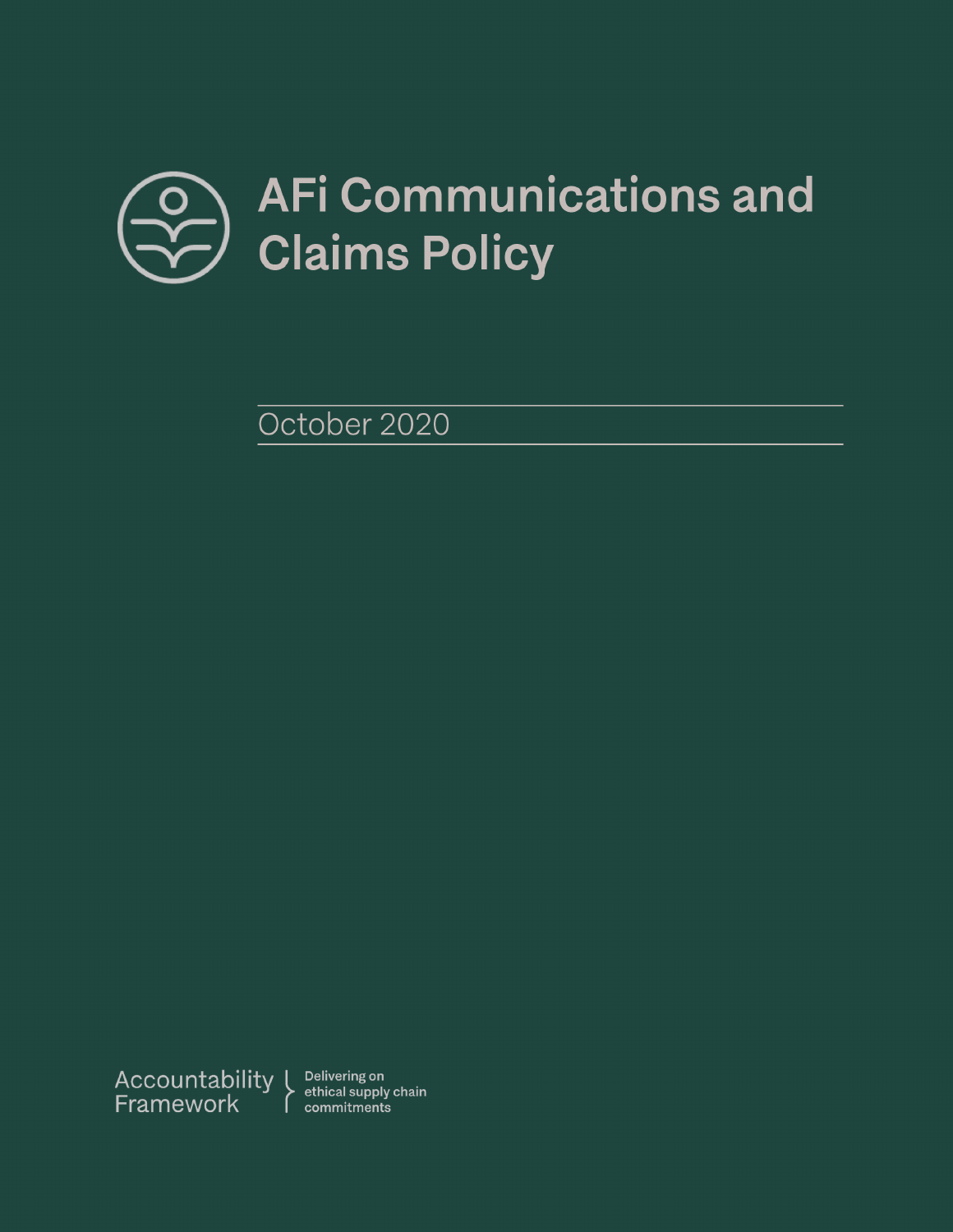

October 2020



ethical supply chain commitments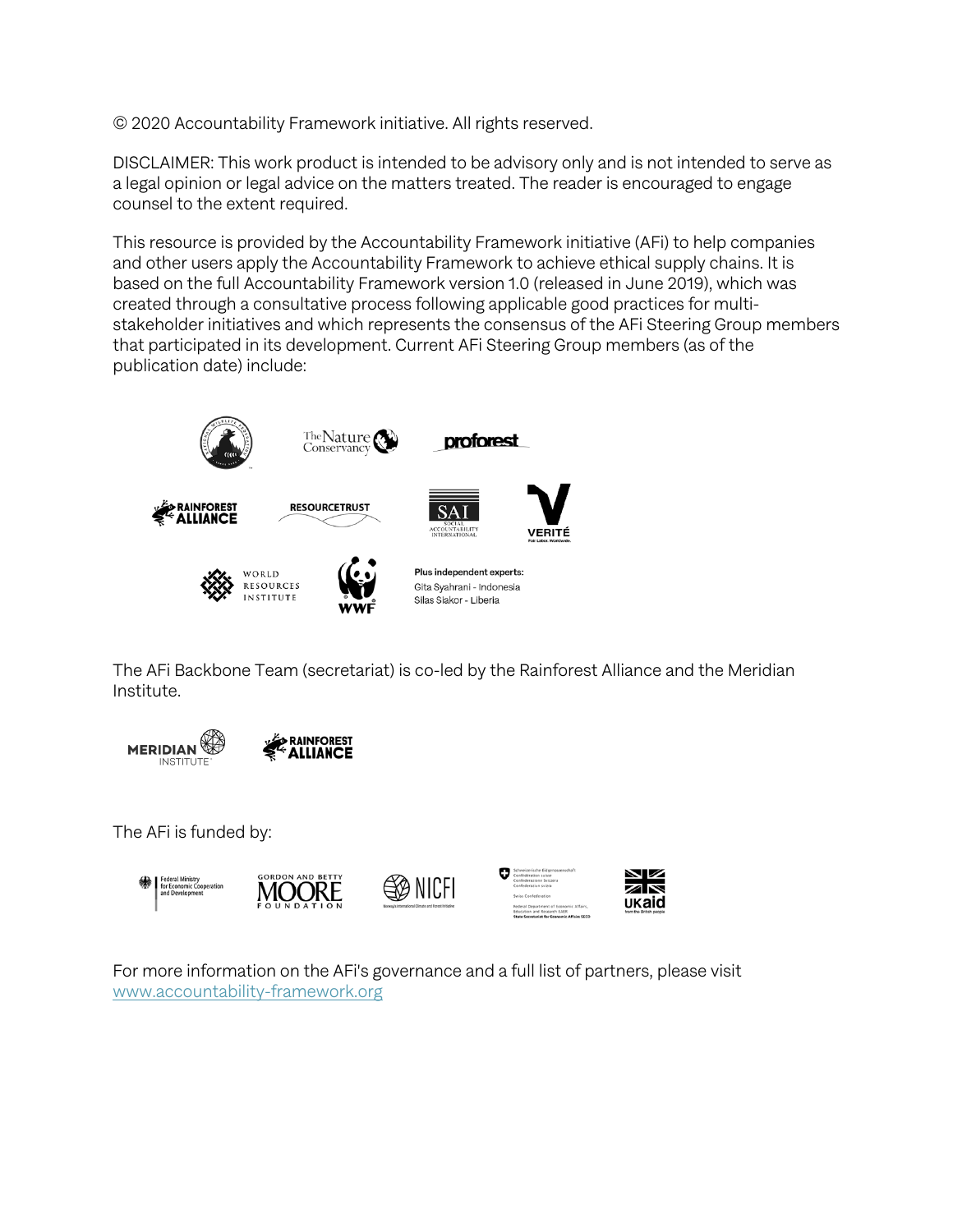© 2020 Accountability Framework initiative. All rights reserved.

DISCLAIMER: This work product is intended to be advisory only and is not intended to serve as a legal opinion or legal advice on the matters treated. The reader is encouraged to engage counsel to the extent required.

This resource is provided by the Accountability Framework initiative (AFi) to help companies and other users apply the Accountability Framework to achieve ethical supply chains. It is based on the full Accountability Framework version 1.0 (released in June 2019), which was created through a consultative process following applicable good practices for multistakeholder initiatives and which represents the consensus of the AFi Steering Group members that participated in its development. Current AFi Steering Group members (as of the publication date) include:



The AFi Backbone Team (secretariat) is co-led by the Rainforest Alliance and the Meridian Institute.





The AFi is funded by:



For more information on the AFi's governance and a full list of partners, please visit www.accountability-framework.org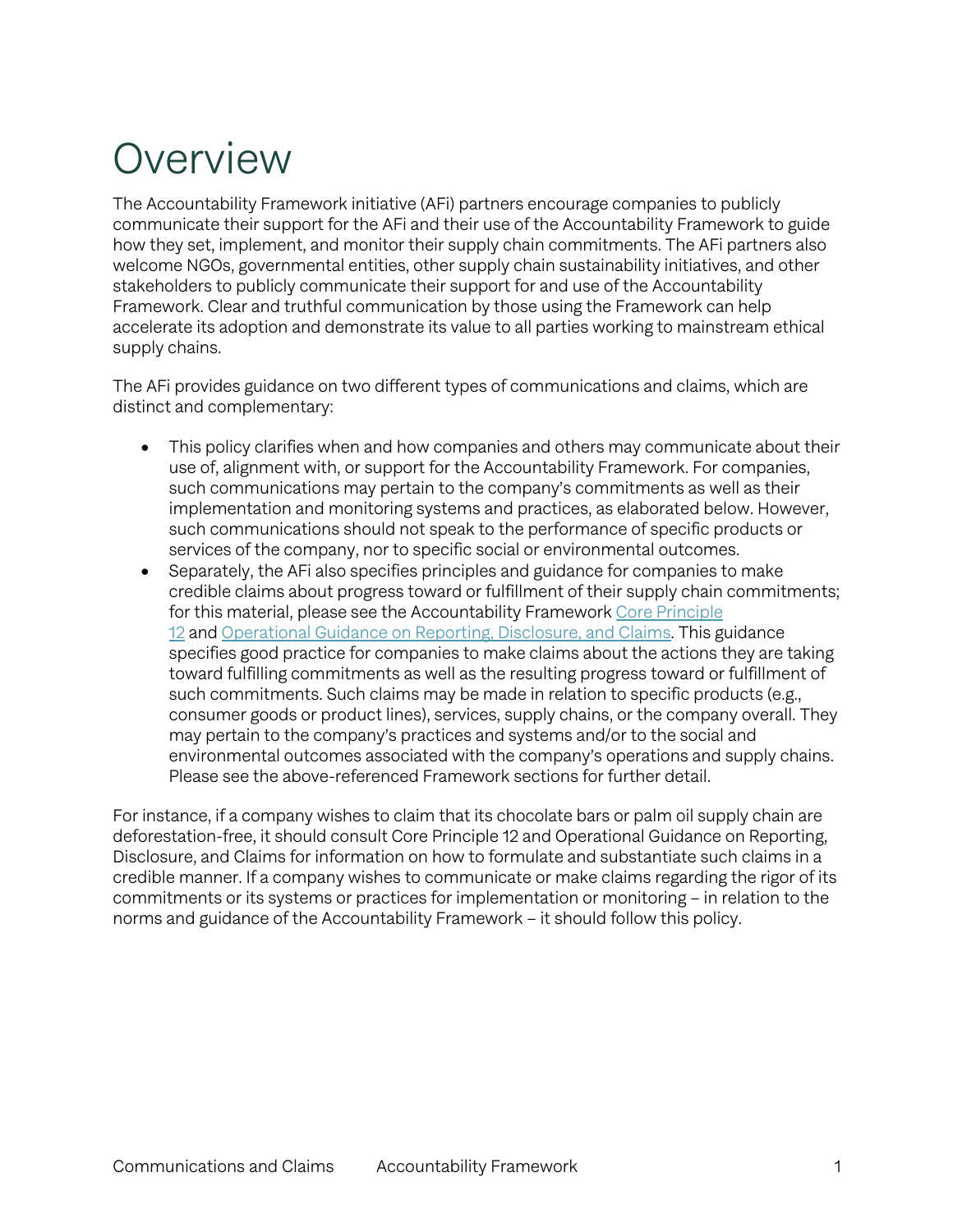### Overview

The Accountability Framework initiative (AFi) partners encourage companies to publicly communicate their support for the AFi and their use of the Accountability Framework to guide how they set, implement, and monitor their supply chain commitments. The AFi partners also welcome NGOs, governmental entities, other supply chain sustainability initiatives, and other stakeholders to publicly communicate their support for and use of the Accountability Framework. Clear and truthful communication by those using the Framework can help accelerate its adoption and demonstrate its value to all parties working to mainstream ethical supply chains.

The AFi provides guidance on two different types of communications and claims, which are distinct and complementary:

- This policy clarifies when and how companies and others may communicate about their use of, alignment with, or support for the Accountability Framework. For companies, such communications may pertain to the company's commitments as well as their implementation and monitoring systems and practices, as elaborated below. However, such communications should not speak to the performance of specific products or services of the company, nor to specific social or environmental outcomes.
- Separately, the AFi also specifies principles and guidance for companies to make credible claims about progress toward or fulfillment of their supply chain commitments; for this material, please see the Accountability Framework Core Principle 12 and Operational Guidance on Reporting, Disclosure, and Claims. This guidance specifies good practice for companies to make claims about the actions they are taking toward fulfilling commitments as well as the resulting progress toward or fulfillment of such commitments. Such claims may be made in relation to specific products (e.g., consumer goods or product lines), services, supply chains, or the company overall. They may pertain to the company's practices and systems and/or to the social and environmental outcomes associated with the company's operations and supply chains. Please see the above-referenced Framework sections for further detail.

For instance, if a company wishes to claim that its chocolate bars or palm oil supply chain are deforestation-free, it should consult Core Principle 12 and Operational Guidance on Reporting, Disclosure, and Claims for information on how to formulate and substantiate such claims in a credible manner. If a company wishes to communicate or make claims regarding the rigor of its commitments or its systems or practices for implementation or monitoring – in relation to the norms and guidance of the Accountability Framework – it should follow this policy.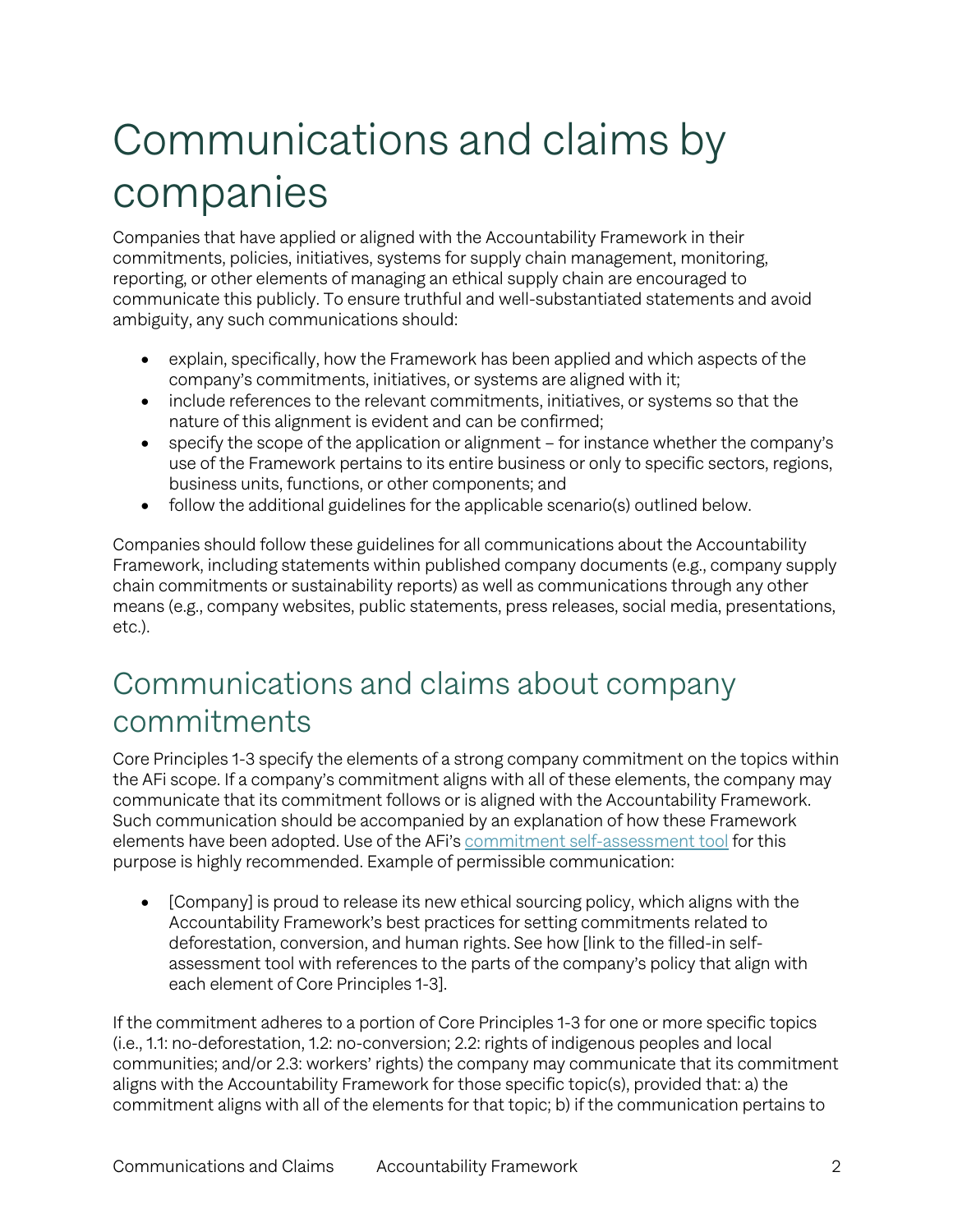# Communications and claims by companies

Companies that have applied or aligned with the Accountability Framework in their commitments, policies, initiatives, systems for supply chain management, monitoring, reporting, or other elements of managing an ethical supply chain are encouraged to communicate this publicly. To ensure truthful and well-substantiated statements and avoid ambiguity, any such communications should:

- explain, specifically, how the Framework has been applied and which aspects of the company's commitments, initiatives, or systems are aligned with it;
- include references to the relevant commitments, initiatives, or systems so that the nature of this alignment is evident and can be confirmed;
- specify the scope of the application or alignment for instance whether the company's use of the Framework pertains to its entire business or only to specific sectors, regions, business units, functions, or other components; and
- follow the additional guidelines for the applicable scenario(s) outlined below.

Companies should follow these guidelines for all communications about the Accountability Framework, including statements within published company documents (e.g., company supply chain commitments or sustainability reports) as well as communications through any other means (e.g., company websites, public statements, press releases, social media, presentations, etc.).

### Communications and claims about company commitments

Core Principles 1-3 specify the elements of a strong company commitment on the topics within the AFi scope. If a company's commitment aligns with all of these elements, the company may communicate that its commitment follows or is aligned with the Accountability Framework. Such communication should be accompanied by an explanation of how these Framework elements have been adopted. Use of the AFi's commitment self-assessment tool for this purpose is highly recommended. Example of permissible communication:

• [Company] is proud to release its new ethical sourcing policy, which aligns with the Accountability Framework's best practices for setting commitments related to deforestation, conversion, and human rights. See how [link to the filled-in selfassessment tool with references to the parts of the company's policy that align with each element of Core Principles 1-3].

If the commitment adheres to a portion of Core Principles 1-3 for one or more specific topics (i.e., 1.1: no-deforestation, 1.2: no-conversion; 2.2: rights of indigenous peoples and local communities; and/or 2.3: workers' rights) the company may communicate that its commitment aligns with the Accountability Framework for those specific topic(s), provided that: a) the commitment aligns with all of the elements for that topic; b) if the communication pertains to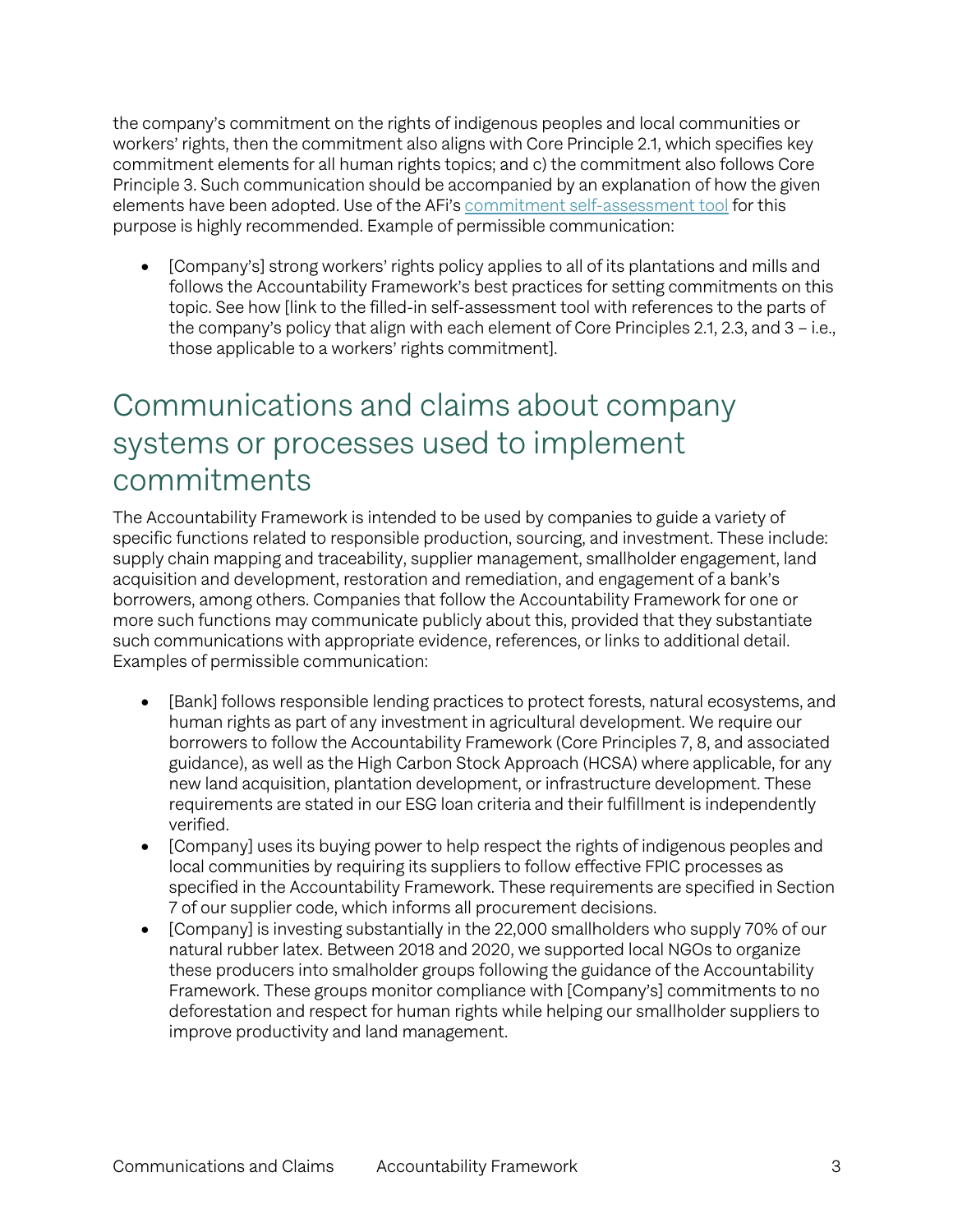the company's commitment on the rights of indigenous peoples and local communities or workers' rights, then the commitment also aligns with Core Principle 2.1, which specifies key commitment elements for all human rights topics; and c) the commitment also follows Core Principle 3. Such communication should be accompanied by an explanation of how the given elements have been adopted. Use of the AFi's commitment self-assessment tool for this purpose is highly recommended. Example of permissible communication:

• [Company's] strong workers' rights policy applies to all of its plantations and mills and follows the Accountability Framework's best practices for setting commitments on this topic. See how [link to the filled-in self-assessment tool with references to the parts of the company's policy that align with each element of Core Principles 2.1, 2.3, and 3 – i.e., those applicable to a workers' rights commitment].

#### Communications and claims about company systems or processes used to implement commitments

The Accountability Framework is intended to be used by companies to guide a variety of specific functions related to responsible production, sourcing, and investment. These include: supply chain mapping and traceability, supplier management, smallholder engagement, land acquisition and development, restoration and remediation, and engagement of a bank's borrowers, among others. Companies that follow the Accountability Framework for one or more such functions may communicate publicly about this, provided that they substantiate such communications with appropriate evidence, references, or links to additional detail. Examples of permissible communication:

- [Bank] follows responsible lending practices to protect forests, natural ecosystems, and human rights as part of any investment in agricultural development. We require our borrowers to follow the Accountability Framework (Core Principles 7, 8, and associated guidance), as well as the High Carbon Stock Approach (HCSA) where applicable, for any new land acquisition, plantation development, or infrastructure development. These requirements are stated in our ESG loan criteria and their fulfillment is independently verified.
- [Company] uses its buying power to help respect the rights of indigenous peoples and local communities by requiring its suppliers to follow effective FPIC processes as specified in the Accountability Framework. These requirements are specified in Section 7 of our supplier code, which informs all procurement decisions.
- [Company] is investing substantially in the 22,000 smallholders who supply 70% of our natural rubber latex. Between 2018 and 2020, we supported local NGOs to organize these producers into smalholder groups following the guidance of the Accountability Framework. These groups monitor compliance with [Company's] commitments to no deforestation and respect for human rights while helping our smallholder suppliers to improve productivity and land management.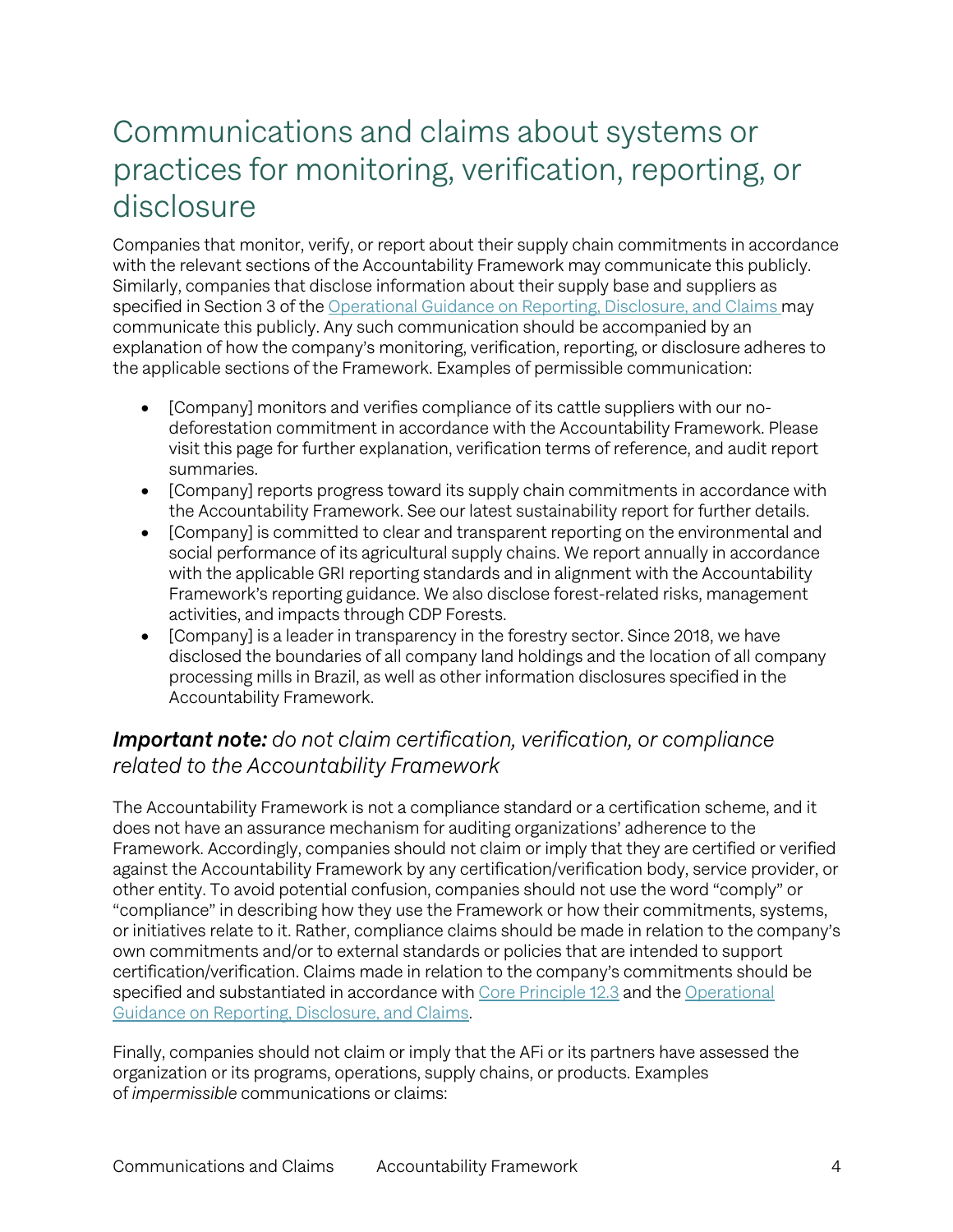### Communications and claims about systems or practices for monitoring, verification, reporting, or disclosure

Companies that monitor, verify, or report about their supply chain commitments in accordance with the relevant sections of the Accountability Framework may communicate this publicly. Similarly, companies that disclose information about their supply base and suppliers as specified in Section 3 of the Operational Guidance on Reporting, Disclosure, and Claims may communicate this publicly. Any such communication should be accompanied by an explanation of how the company's monitoring, verification, reporting, or disclosure adheres to the applicable sections of the Framework. Examples of permissible communication:

- [Company] monitors and verifies compliance of its cattle suppliers with our nodeforestation commitment in accordance with the Accountability Framework. Please visit this page for further explanation, verification terms of reference, and audit report summaries.
- [Company] reports progress toward its supply chain commitments in accordance with the Accountability Framework. See our latest sustainability report for further details.
- [Company] is committed to clear and transparent reporting on the environmental and social performance of its agricultural supply chains. We report annually in accordance with the applicable GRI reporting standards and in alignment with the Accountability Framework's reporting guidance. We also disclose forest-related risks, management activities, and impacts through CDP Forests.
- [Company] is a leader in transparency in the forestry sector. Since 2018, we have disclosed the boundaries of all company land holdings and the location of all company processing mills in Brazil, as well as other information disclosures specified in the Accountability Framework.

#### *Important note: do not claim certification, verification, or compliance related to the Accountability Framework*

The Accountability Framework is not a compliance standard or a certification scheme, and it does not have an assurance mechanism for auditing organizations' adherence to the Framework. Accordingly, companies should not claim or imply that they are certified or verified against the Accountability Framework by any certification/verification body, service provider, or other entity. To avoid potential confusion, companies should not use the word "comply" or "compliance" in describing how they use the Framework or how their commitments, systems, or initiatives relate to it. Rather, compliance claims should be made in relation to the company's own commitments and/or to external standards or policies that are intended to support certification/verification. Claims made in relation to the company's commitments should be specified and substantiated in accordance with Core Principle 12.3 and the Operational Guidance on Reporting, Disclosure, and Claims.

Finally, companies should not claim or imply that the AFi or its partners have assessed the organization or its programs, operations, supply chains, or products. Examples of *impermissible* communications or claims: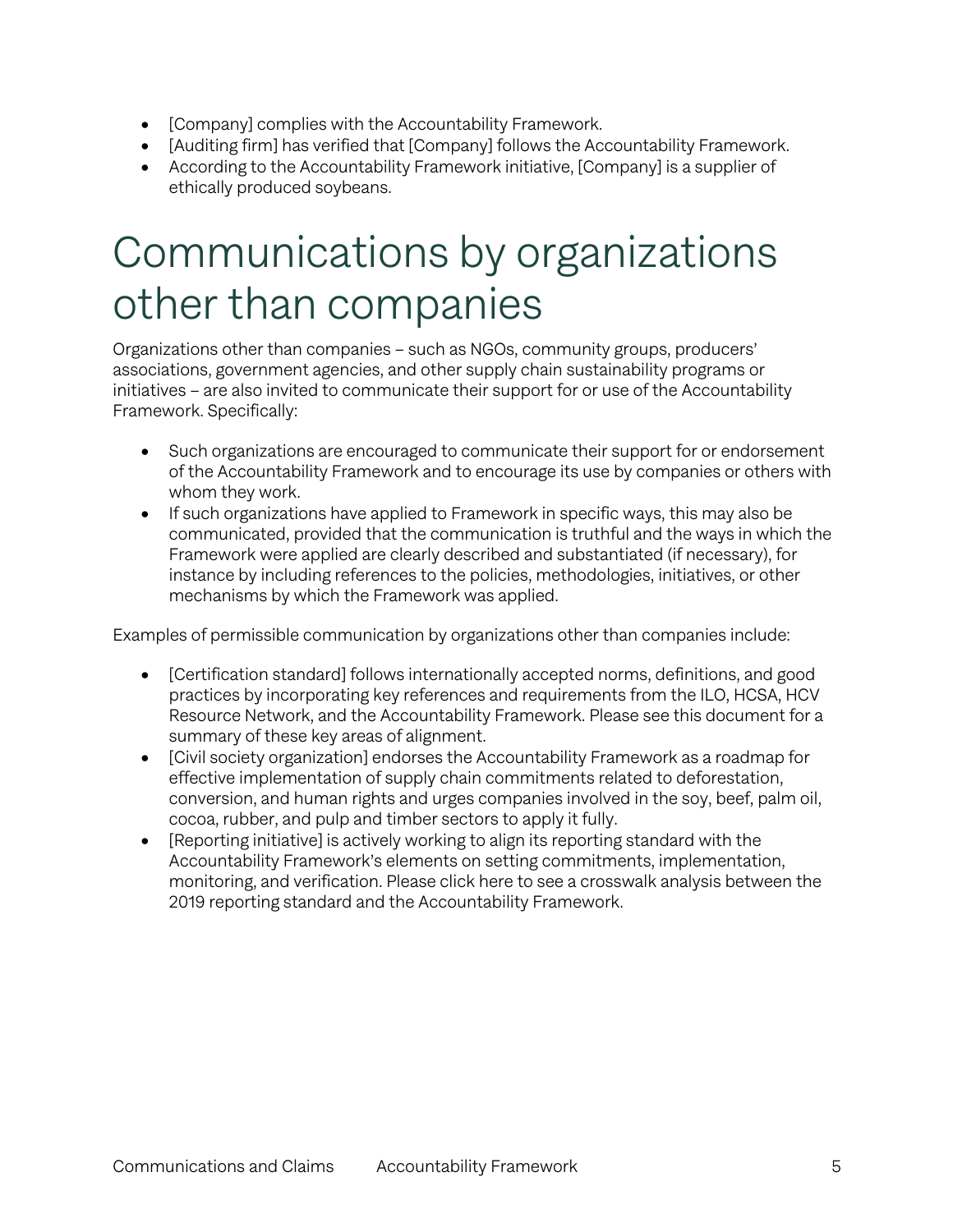- [Company] complies with the Accountability Framework.
- [Auditing firm] has verified that [Company] follows the Accountability Framework.
- According to the Accountability Framework initiative, [Company] is a supplier of ethically produced soybeans.

### Communications by organizations other than companies

Organizations other than companies – such as NGOs, community groups, producers' associations, government agencies, and other supply chain sustainability programs or initiatives – are also invited to communicate their support for or use of the Accountability Framework. Specifically:

- Such organizations are encouraged to communicate their support for or endorsement of the Accountability Framework and to encourage its use by companies or others with whom they work.
- If such organizations have applied to Framework in specific ways, this may also be communicated, provided that the communication is truthful and the ways in which the Framework were applied are clearly described and substantiated (if necessary), for instance by including references to the policies, methodologies, initiatives, or other mechanisms by which the Framework was applied.

Examples of permissible communication by organizations other than companies include:

- [Certification standard] follows internationally accepted norms, definitions, and good practices by incorporating key references and requirements from the ILO, HCSA, HCV Resource Network, and the Accountability Framework. Please see this document for a summary of these key areas of alignment.
- [Civil society organization] endorses the Accountability Framework as a roadmap for effective implementation of supply chain commitments related to deforestation, conversion, and human rights and urges companies involved in the soy, beef, palm oil, cocoa, rubber, and pulp and timber sectors to apply it fully.
- [Reporting initiative] is actively working to align its reporting standard with the Accountability Framework's elements on setting commitments, implementation, monitoring, and verification. Please click here to see a crosswalk analysis between the 2019 reporting standard and the Accountability Framework.